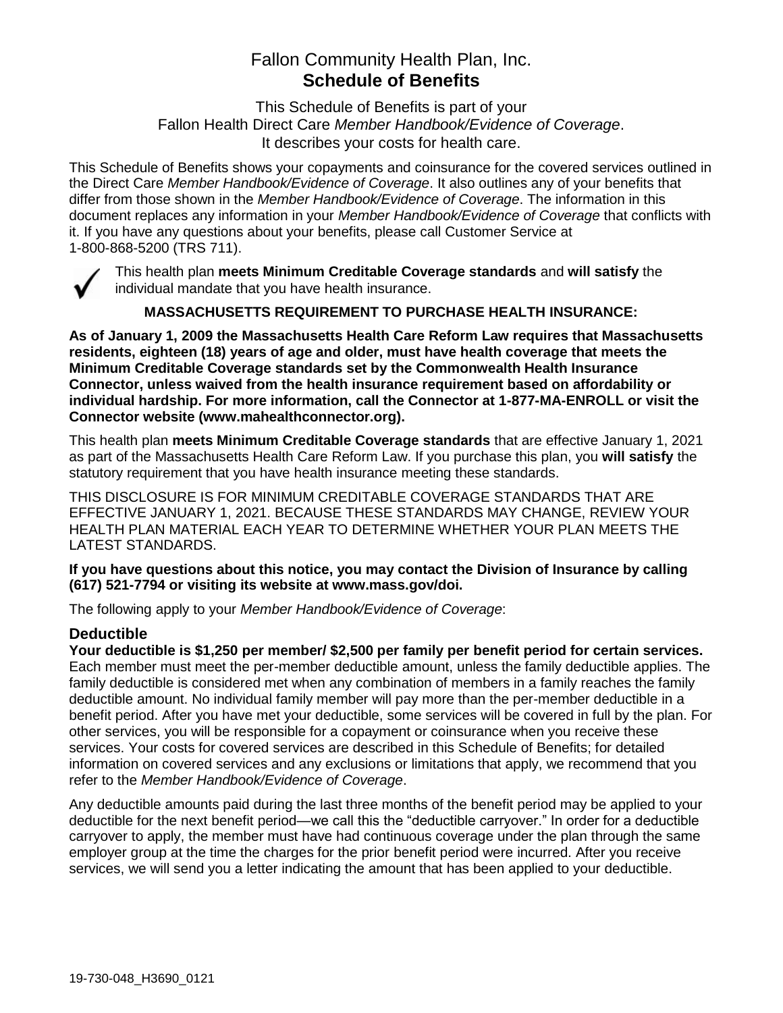# Fallon Community Health Plan, Inc. **Schedule of Benefits**

This Schedule of Benefits is part of your Fallon Health Direct Care *Member Handbook/Evidence of Coverage*. It describes your costs for health care.

This Schedule of Benefits shows your copayments and coinsurance for the covered services outlined in the Direct Care *Member Handbook/Evidence of Coverage*. It also outlines any of your benefits that differ from those shown in the *Member Handbook/Evidence of Coverage*. The information in this document replaces any information in your *Member Handbook/Evidence of Coverage* that conflicts with it. If you have any questions about your benefits, please call Customer Service at 1-800-868-5200 (TRS 711).



This health plan **meets Minimum Creditable Coverage standards** and **will satisfy** the individual mandate that you have health insurance.

**MASSACHUSETTS REQUIREMENT TO PURCHASE HEALTH INSURANCE:**

**As of January 1, 2009 the Massachusetts Health Care Reform Law requires that Massachusetts residents, eighteen (18) years of age and older, must have health coverage that meets the Minimum Creditable Coverage standards set by the Commonwealth Health Insurance Connector, unless waived from the health insurance requirement based on affordability or individual hardship. For more information, call the Connector at 1-877-MA-ENROLL or visit the Connector website (www.mahealthconnector.org).**

This health plan **meets Minimum Creditable Coverage standards** that are effective January 1, 2021 as part of the Massachusetts Health Care Reform Law. If you purchase this plan, you **will satisfy** the statutory requirement that you have health insurance meeting these standards.

THIS DISCLOSURE IS FOR MINIMUM CREDITABLE COVERAGE STANDARDS THAT ARE EFFECTIVE JANUARY 1, 2021. BECAUSE THESE STANDARDS MAY CHANGE, REVIEW YOUR HEALTH PLAN MATERIAL EACH YEAR TO DETERMINE WHETHER YOUR PLAN MEETS THE LATEST STANDARDS.

**If you have questions about this notice, you may contact the Division of Insurance by calling (617) 521-7794 or visiting its website at www.mass.gov/doi.** 

The following apply to your *Member Handbook/Evidence of Coverage*:

# **Deductible**

**Your deductible is \$1,250 per member/ \$2,500 per family per benefit period for certain services.** Each member must meet the per-member deductible amount, unless the family deductible applies. The family deductible is considered met when any combination of members in a family reaches the family deductible amount. No individual family member will pay more than the per-member deductible in a benefit period. After you have met your deductible, some services will be covered in full by the plan. For other services, you will be responsible for a copayment or coinsurance when you receive these services. Your costs for covered services are described in this Schedule of Benefits; for detailed information on covered services and any exclusions or limitations that apply, we recommend that you refer to the *Member Handbook/Evidence of Coverage*.

Any deductible amounts paid during the last three months of the benefit period may be applied to your deductible for the next benefit period—we call this the "deductible carryover." In order for a deductible carryover to apply, the member must have had continuous coverage under the plan through the same employer group at the time the charges for the prior benefit period were incurred. After you receive services, we will send you a letter indicating the amount that has been applied to your deductible.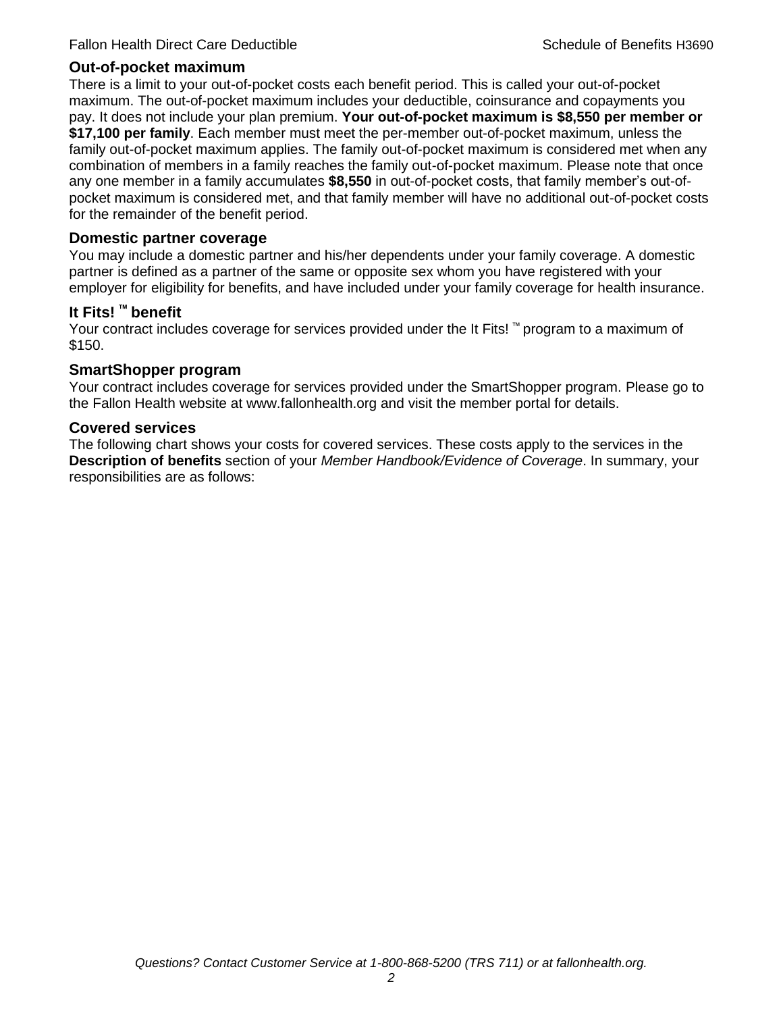## **Out-of-pocket maximum**

There is a limit to your out-of-pocket costs each benefit period. This is called your out-of-pocket maximum. The out-of-pocket maximum includes your deductible, coinsurance and copayments you pay. It does not include your plan premium. **Your out-of-pocket maximum is \$8,550 per member or \$17,100 per family**. Each member must meet the per-member out-of-pocket maximum, unless the family out-of-pocket maximum applies. The family out-of-pocket maximum is considered met when any combination of members in a family reaches the family out-of-pocket maximum. Please note that once any one member in a family accumulates **\$8,550** in out-of-pocket costs, that family member's out-ofpocket maximum is considered met, and that family member will have no additional out-of-pocket costs for the remainder of the benefit period.

## **Domestic partner coverage**

You may include a domestic partner and his/her dependents under your family coverage. A domestic partner is defined as a partner of the same or opposite sex whom you have registered with your employer for eligibility for benefits, and have included under your family coverage for health insurance.

# **It Fits! ™ benefit**

Your contract includes coverage for services provided under the It Fits! ™ program to a maximum of \$150.

# **SmartShopper program**

Your contract includes coverage for services provided under the SmartShopper program. Please go to the Fallon Health website at www.fallonhealth.org and visit the member portal for details.

#### **Covered services**

The following chart shows your costs for covered services. These costs apply to the services in the **Description of benefits** section of your *Member Handbook/Evidence of Coverage*. In summary, your responsibilities are as follows: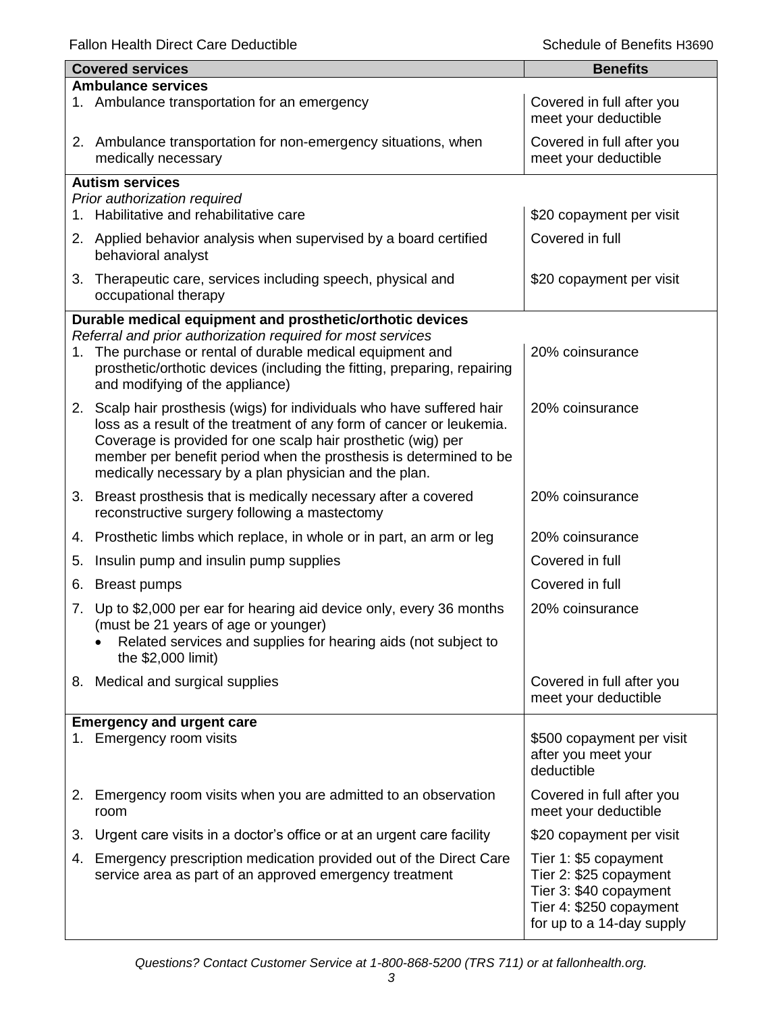Fallon Health Direct Care Deductible **Schedule of Benefits H3690** Schedule of Benefits H3690

|    | <b>Covered services</b>                                                                                                                                                | <b>Benefits</b>                                      |
|----|------------------------------------------------------------------------------------------------------------------------------------------------------------------------|------------------------------------------------------|
|    | <b>Ambulance services</b>                                                                                                                                              |                                                      |
|    | 1. Ambulance transportation for an emergency                                                                                                                           | Covered in full after you<br>meet your deductible    |
|    | 2. Ambulance transportation for non-emergency situations, when<br>medically necessary                                                                                  | Covered in full after you<br>meet your deductible    |
|    | <b>Autism services</b>                                                                                                                                                 |                                                      |
|    | Prior authorization required                                                                                                                                           |                                                      |
| 1. | Habilitative and rehabilitative care                                                                                                                                   | \$20 copayment per visit                             |
|    | 2. Applied behavior analysis when supervised by a board certified<br>behavioral analyst                                                                                | Covered in full                                      |
|    | 3. Therapeutic care, services including speech, physical and<br>occupational therapy                                                                                   | \$20 copayment per visit                             |
|    | Durable medical equipment and prosthetic/orthotic devices                                                                                                              |                                                      |
|    | Referral and prior authorization required for most services                                                                                                            |                                                      |
| 1. | The purchase or rental of durable medical equipment and<br>prosthetic/orthotic devices (including the fitting, preparing, repairing<br>and modifying of the appliance) | 20% coinsurance                                      |
|    | 2. Scalp hair prosthesis (wigs) for individuals who have suffered hair                                                                                                 | 20% coinsurance                                      |
|    | loss as a result of the treatment of any form of cancer or leukemia.                                                                                                   |                                                      |
|    | Coverage is provided for one scalp hair prosthetic (wig) per                                                                                                           |                                                      |
|    | member per benefit period when the prosthesis is determined to be<br>medically necessary by a plan physician and the plan.                                             |                                                      |
|    | 3. Breast prosthesis that is medically necessary after a covered                                                                                                       | 20% coinsurance                                      |
|    | reconstructive surgery following a mastectomy                                                                                                                          |                                                      |
| 4. | Prosthetic limbs which replace, in whole or in part, an arm or leg                                                                                                     | 20% coinsurance                                      |
| 5. | Insulin pump and insulin pump supplies                                                                                                                                 | Covered in full                                      |
| 6. | <b>Breast pumps</b>                                                                                                                                                    | Covered in full                                      |
| 7. | Up to \$2,000 per ear for hearing aid device only, every 36 months                                                                                                     | 20% coinsurance                                      |
|    | (must be 21 years of age or younger)                                                                                                                                   |                                                      |
|    | Related services and supplies for hearing aids (not subject to<br>the \$2,000 limit)                                                                                   |                                                      |
|    |                                                                                                                                                                        |                                                      |
|    | 8. Medical and surgical supplies                                                                                                                                       | Covered in full after you<br>meet your deductible    |
|    | <b>Emergency and urgent care</b>                                                                                                                                       |                                                      |
|    | 1. Emergency room visits                                                                                                                                               | \$500 copayment per visit                            |
|    |                                                                                                                                                                        | after you meet your                                  |
|    |                                                                                                                                                                        | deductible                                           |
| 2. | Emergency room visits when you are admitted to an observation<br>room                                                                                                  | Covered in full after you<br>meet your deductible    |
| 3. | Urgent care visits in a doctor's office or at an urgent care facility                                                                                                  | \$20 copayment per visit                             |
| 4. | Emergency prescription medication provided out of the Direct Care                                                                                                      | Tier 1: \$5 copayment                                |
|    | service area as part of an approved emergency treatment                                                                                                                | Tier 2: \$25 copayment                               |
|    |                                                                                                                                                                        | Tier 3: \$40 copayment                               |
|    |                                                                                                                                                                        | Tier 4: \$250 copayment<br>for up to a 14-day supply |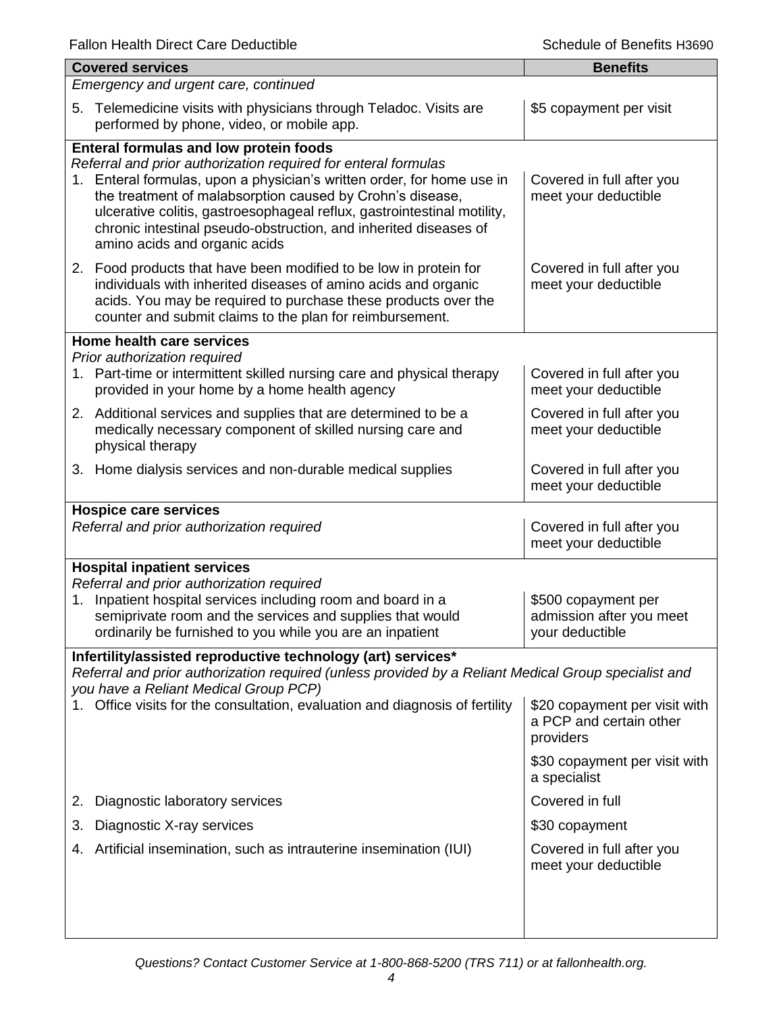| <b>Covered services</b>                                                                                                                                                                                                                                                                                                                                                                                                         | <b>Benefits</b>                                                       |  |  |
|---------------------------------------------------------------------------------------------------------------------------------------------------------------------------------------------------------------------------------------------------------------------------------------------------------------------------------------------------------------------------------------------------------------------------------|-----------------------------------------------------------------------|--|--|
| Emergency and urgent care, continued                                                                                                                                                                                                                                                                                                                                                                                            |                                                                       |  |  |
| Telemedicine visits with physicians through Teladoc. Visits are<br>5.<br>performed by phone, video, or mobile app.                                                                                                                                                                                                                                                                                                              | \$5 copayment per visit                                               |  |  |
| Enteral formulas and low protein foods<br>Referral and prior authorization required for enteral formulas<br>1. Enteral formulas, upon a physician's written order, for home use in<br>the treatment of malabsorption caused by Crohn's disease,<br>ulcerative colitis, gastroesophageal reflux, gastrointestinal motility,<br>chronic intestinal pseudo-obstruction, and inherited diseases of<br>amino acids and organic acids | Covered in full after you<br>meet your deductible                     |  |  |
| 2. Food products that have been modified to be low in protein for<br>individuals with inherited diseases of amino acids and organic<br>acids. You may be required to purchase these products over the<br>counter and submit claims to the plan for reimbursement.                                                                                                                                                               | Covered in full after you<br>meet your deductible                     |  |  |
| Home health care services                                                                                                                                                                                                                                                                                                                                                                                                       |                                                                       |  |  |
| Prior authorization required<br>1. Part-time or intermittent skilled nursing care and physical therapy<br>provided in your home by a home health agency                                                                                                                                                                                                                                                                         | Covered in full after you<br>meet your deductible                     |  |  |
| 2. Additional services and supplies that are determined to be a<br>medically necessary component of skilled nursing care and<br>physical therapy                                                                                                                                                                                                                                                                                | Covered in full after you<br>meet your deductible                     |  |  |
| 3. Home dialysis services and non-durable medical supplies                                                                                                                                                                                                                                                                                                                                                                      | Covered in full after you<br>meet your deductible                     |  |  |
| <b>Hospice care services</b><br>Referral and prior authorization required                                                                                                                                                                                                                                                                                                                                                       | Covered in full after you<br>meet your deductible                     |  |  |
| <b>Hospital inpatient services</b><br>Referral and prior authorization required<br>Inpatient hospital services including room and board in a<br>1.<br>semiprivate room and the services and supplies that would<br>ordinarily be furnished to you while you are an inpatient                                                                                                                                                    | \$500 copayment per<br>admission after you meet<br>your deductible    |  |  |
| Infertility/assisted reproductive technology (art) services*                                                                                                                                                                                                                                                                                                                                                                    |                                                                       |  |  |
| Referral and prior authorization required (unless provided by a Reliant Medical Group specialist and<br>you have a Reliant Medical Group PCP)                                                                                                                                                                                                                                                                                   |                                                                       |  |  |
| Office visits for the consultation, evaluation and diagnosis of fertility                                                                                                                                                                                                                                                                                                                                                       | \$20 copayment per visit with<br>a PCP and certain other<br>providers |  |  |
|                                                                                                                                                                                                                                                                                                                                                                                                                                 | \$30 copayment per visit with<br>a specialist                         |  |  |
| Diagnostic laboratory services<br>2.                                                                                                                                                                                                                                                                                                                                                                                            | Covered in full                                                       |  |  |
| Diagnostic X-ray services<br>3.                                                                                                                                                                                                                                                                                                                                                                                                 | \$30 copayment                                                        |  |  |
| Artificial insemination, such as intrauterine insemination (IUI)<br>4.                                                                                                                                                                                                                                                                                                                                                          | Covered in full after you<br>meet your deductible                     |  |  |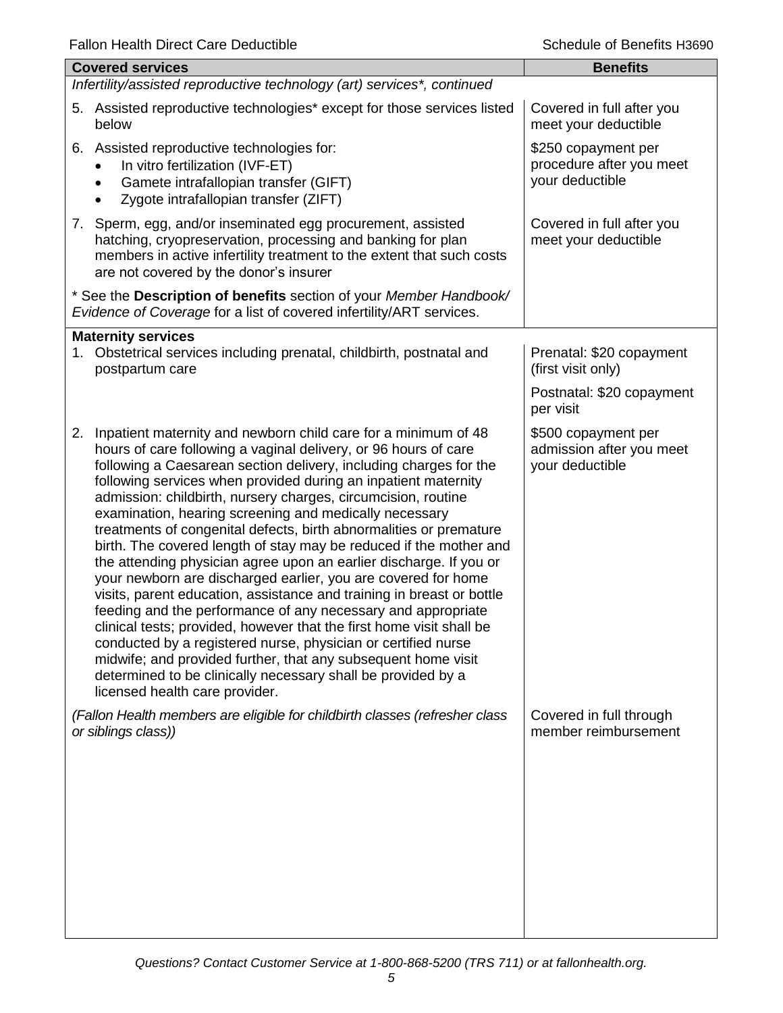| r allon Ficallin Direct Oare Deuaclibie                                                                                                                                                                                                                                                                                                                                                                                                                                                                                                                                                                                                                                                                                                                                                                                                                                                                                                                                                                                                                                                                                                        | ספטפרו בווטווטיום וט טווטט                                         |
|------------------------------------------------------------------------------------------------------------------------------------------------------------------------------------------------------------------------------------------------------------------------------------------------------------------------------------------------------------------------------------------------------------------------------------------------------------------------------------------------------------------------------------------------------------------------------------------------------------------------------------------------------------------------------------------------------------------------------------------------------------------------------------------------------------------------------------------------------------------------------------------------------------------------------------------------------------------------------------------------------------------------------------------------------------------------------------------------------------------------------------------------|--------------------------------------------------------------------|
| <b>Covered services</b>                                                                                                                                                                                                                                                                                                                                                                                                                                                                                                                                                                                                                                                                                                                                                                                                                                                                                                                                                                                                                                                                                                                        | <b>Benefits</b>                                                    |
| Infertility/assisted reproductive technology (art) services*, continued                                                                                                                                                                                                                                                                                                                                                                                                                                                                                                                                                                                                                                                                                                                                                                                                                                                                                                                                                                                                                                                                        |                                                                    |
| 5. Assisted reproductive technologies* except for those services listed<br>below                                                                                                                                                                                                                                                                                                                                                                                                                                                                                                                                                                                                                                                                                                                                                                                                                                                                                                                                                                                                                                                               | Covered in full after you<br>meet your deductible                  |
| Assisted reproductive technologies for:<br>6.<br>In vitro fertilization (IVF-ET)<br>Gamete intrafallopian transfer (GIFT)<br>$\bullet$<br>Zygote intrafallopian transfer (ZIFT)                                                                                                                                                                                                                                                                                                                                                                                                                                                                                                                                                                                                                                                                                                                                                                                                                                                                                                                                                                | \$250 copayment per<br>procedure after you meet<br>your deductible |
| 7. Sperm, egg, and/or inseminated egg procurement, assisted<br>hatching, cryopreservation, processing and banking for plan<br>members in active infertility treatment to the extent that such costs<br>are not covered by the donor's insurer                                                                                                                                                                                                                                                                                                                                                                                                                                                                                                                                                                                                                                                                                                                                                                                                                                                                                                  | Covered in full after you<br>meet your deductible                  |
| * See the Description of benefits section of your Member Handbook/<br>Evidence of Coverage for a list of covered infertility/ART services.                                                                                                                                                                                                                                                                                                                                                                                                                                                                                                                                                                                                                                                                                                                                                                                                                                                                                                                                                                                                     |                                                                    |
| <b>Maternity services</b><br>1. Obstetrical services including prenatal, childbirth, postnatal and<br>postpartum care                                                                                                                                                                                                                                                                                                                                                                                                                                                                                                                                                                                                                                                                                                                                                                                                                                                                                                                                                                                                                          | Prenatal: \$20 copayment<br>(first visit only)                     |
|                                                                                                                                                                                                                                                                                                                                                                                                                                                                                                                                                                                                                                                                                                                                                                                                                                                                                                                                                                                                                                                                                                                                                | Postnatal: \$20 copayment<br>per visit                             |
| 2. Inpatient maternity and newborn child care for a minimum of 48<br>hours of care following a vaginal delivery, or 96 hours of care<br>following a Caesarean section delivery, including charges for the<br>following services when provided during an inpatient maternity<br>admission: childbirth, nursery charges, circumcision, routine<br>examination, hearing screening and medically necessary<br>treatments of congenital defects, birth abnormalities or premature<br>birth. The covered length of stay may be reduced if the mother and<br>the attending physician agree upon an earlier discharge. If you or<br>your newborn are discharged earlier, you are covered for home<br>visits, parent education, assistance and training in breast or bottle<br>feeding and the performance of any necessary and appropriate<br>clinical tests; provided, however that the first home visit shall be<br>conducted by a registered nurse, physician or certified nurse<br>midwife; and provided further, that any subsequent home visit<br>determined to be clinically necessary shall be provided by a<br>licensed health care provider. | \$500 copayment per<br>admission after you meet<br>your deductible |
| (Fallon Health members are eligible for childbirth classes (refresher class<br>or siblings class))                                                                                                                                                                                                                                                                                                                                                                                                                                                                                                                                                                                                                                                                                                                                                                                                                                                                                                                                                                                                                                             | Covered in full through<br>member reimbursement                    |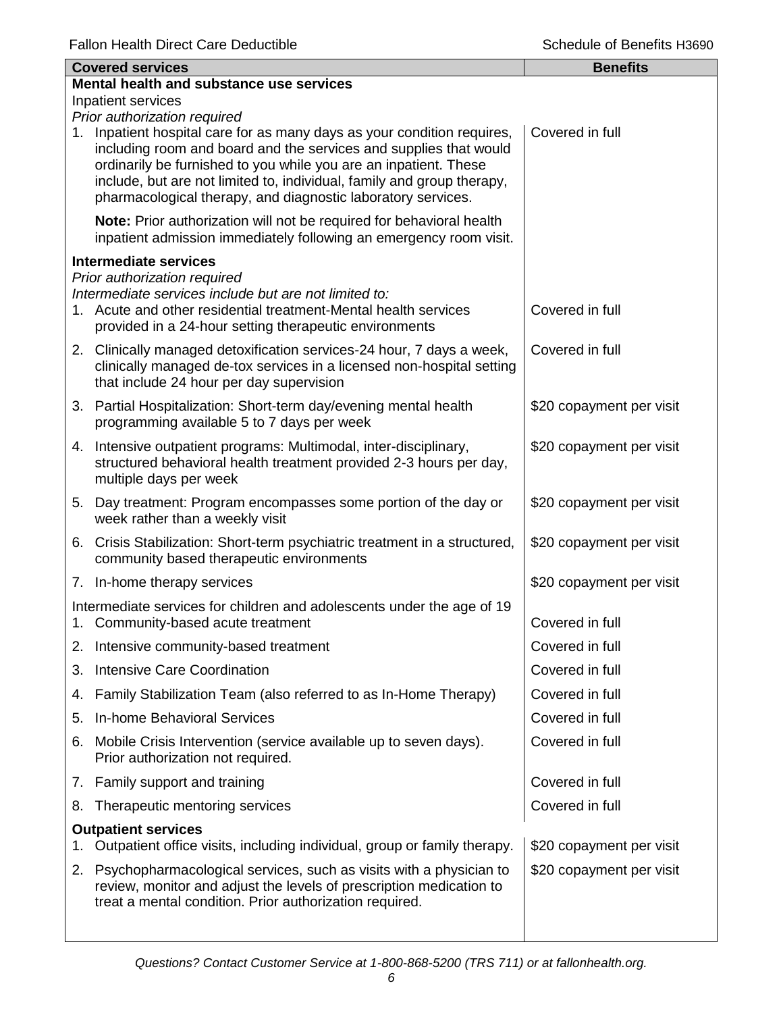|             | <b>Covered services</b>                                                                                                                                                                                                                                                                                                                                 | <b>Benefits</b>          |  |  |
|-------------|---------------------------------------------------------------------------------------------------------------------------------------------------------------------------------------------------------------------------------------------------------------------------------------------------------------------------------------------------------|--------------------------|--|--|
|             | Mental health and substance use services                                                                                                                                                                                                                                                                                                                |                          |  |  |
|             | Inpatient services<br>Prior authorization required                                                                                                                                                                                                                                                                                                      |                          |  |  |
| $1_{\cdot}$ | Inpatient hospital care for as many days as your condition requires,<br>including room and board and the services and supplies that would<br>ordinarily be furnished to you while you are an inpatient. These<br>include, but are not limited to, individual, family and group therapy,<br>pharmacological therapy, and diagnostic laboratory services. | Covered in full          |  |  |
|             | Note: Prior authorization will not be required for behavioral health<br>inpatient admission immediately following an emergency room visit.                                                                                                                                                                                                              |                          |  |  |
|             | <b>Intermediate services</b>                                                                                                                                                                                                                                                                                                                            |                          |  |  |
|             | Prior authorization required<br>Intermediate services include but are not limited to:<br>1. Acute and other residential treatment-Mental health services<br>provided in a 24-hour setting therapeutic environments                                                                                                                                      | Covered in full          |  |  |
|             | 2. Clinically managed detoxification services-24 hour, 7 days a week,<br>clinically managed de-tox services in a licensed non-hospital setting<br>that include 24 hour per day supervision                                                                                                                                                              | Covered in full          |  |  |
|             | 3. Partial Hospitalization: Short-term day/evening mental health<br>programming available 5 to 7 days per week                                                                                                                                                                                                                                          | \$20 copayment per visit |  |  |
|             | 4. Intensive outpatient programs: Multimodal, inter-disciplinary,<br>structured behavioral health treatment provided 2-3 hours per day,<br>multiple days per week                                                                                                                                                                                       | \$20 copayment per visit |  |  |
|             | 5. Day treatment: Program encompasses some portion of the day or<br>week rather than a weekly visit                                                                                                                                                                                                                                                     | \$20 copayment per visit |  |  |
|             | 6. Crisis Stabilization: Short-term psychiatric treatment in a structured,<br>community based therapeutic environments                                                                                                                                                                                                                                  | \$20 copayment per visit |  |  |
|             | 7. In-home therapy services                                                                                                                                                                                                                                                                                                                             | \$20 copayment per visit |  |  |
|             | Intermediate services for children and adolescents under the age of 19<br>1. Community-based acute treatment                                                                                                                                                                                                                                            | Covered in full          |  |  |
|             | 2. Intensive community-based treatment                                                                                                                                                                                                                                                                                                                  | Covered in full          |  |  |
| 3.          | <b>Intensive Care Coordination</b>                                                                                                                                                                                                                                                                                                                      | Covered in full          |  |  |
| 4.          | Family Stabilization Team (also referred to as In-Home Therapy)                                                                                                                                                                                                                                                                                         | Covered in full          |  |  |
| 5.          | <b>In-home Behavioral Services</b>                                                                                                                                                                                                                                                                                                                      | Covered in full          |  |  |
| 6.          | Mobile Crisis Intervention (service available up to seven days).<br>Prior authorization not required.                                                                                                                                                                                                                                                   | Covered in full          |  |  |
|             | 7. Family support and training                                                                                                                                                                                                                                                                                                                          | Covered in full          |  |  |
| 8.          | Therapeutic mentoring services                                                                                                                                                                                                                                                                                                                          | Covered in full          |  |  |
| 1.          | <b>Outpatient services</b><br>Outpatient office visits, including individual, group or family therapy.                                                                                                                                                                                                                                                  | \$20 copayment per visit |  |  |
| 2.          | Psychopharmacological services, such as visits with a physician to<br>review, monitor and adjust the levels of prescription medication to<br>treat a mental condition. Prior authorization required.                                                                                                                                                    | \$20 copayment per visit |  |  |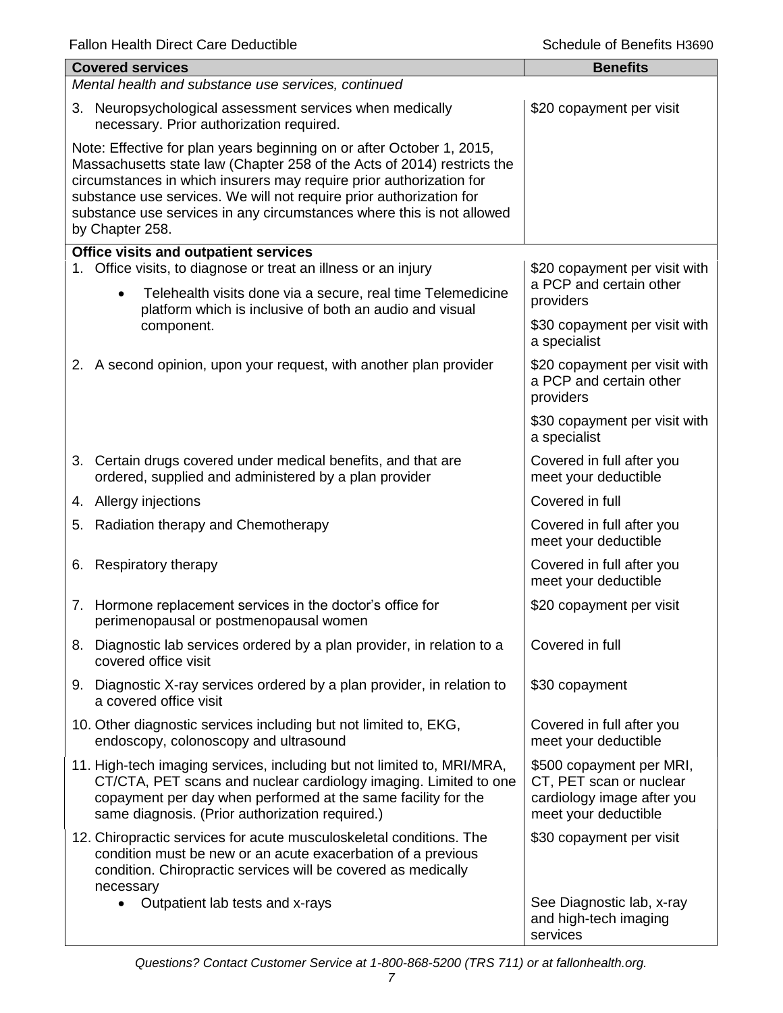|                                                                                                                                                                                                                                                                                                                                                                                            | <b>Covered services</b>                                                                                                                                                                                                                                        | <b>Benefits</b>                                                                                           |  |  |
|--------------------------------------------------------------------------------------------------------------------------------------------------------------------------------------------------------------------------------------------------------------------------------------------------------------------------------------------------------------------------------------------|----------------------------------------------------------------------------------------------------------------------------------------------------------------------------------------------------------------------------------------------------------------|-----------------------------------------------------------------------------------------------------------|--|--|
|                                                                                                                                                                                                                                                                                                                                                                                            | Mental health and substance use services, continued                                                                                                                                                                                                            |                                                                                                           |  |  |
|                                                                                                                                                                                                                                                                                                                                                                                            | 3. Neuropsychological assessment services when medically<br>necessary. Prior authorization required.                                                                                                                                                           | \$20 copayment per visit                                                                                  |  |  |
| Note: Effective for plan years beginning on or after October 1, 2015,<br>Massachusetts state law (Chapter 258 of the Acts of 2014) restricts the<br>circumstances in which insurers may require prior authorization for<br>substance use services. We will not require prior authorization for<br>substance use services in any circumstances where this is not allowed<br>by Chapter 258. |                                                                                                                                                                                                                                                                |                                                                                                           |  |  |
|                                                                                                                                                                                                                                                                                                                                                                                            | <b>Office visits and outpatient services</b><br>1. Office visits, to diagnose or treat an illness or an injury                                                                                                                                                 | \$20 copayment per visit with                                                                             |  |  |
|                                                                                                                                                                                                                                                                                                                                                                                            | Telehealth visits done via a secure, real time Telemedicine<br>$\bullet$<br>platform which is inclusive of both an audio and visual                                                                                                                            | a PCP and certain other<br>providers                                                                      |  |  |
|                                                                                                                                                                                                                                                                                                                                                                                            | component.                                                                                                                                                                                                                                                     | \$30 copayment per visit with<br>a specialist                                                             |  |  |
|                                                                                                                                                                                                                                                                                                                                                                                            | 2. A second opinion, upon your request, with another plan provider                                                                                                                                                                                             | \$20 copayment per visit with<br>a PCP and certain other<br>providers                                     |  |  |
|                                                                                                                                                                                                                                                                                                                                                                                            |                                                                                                                                                                                                                                                                | \$30 copayment per visit with<br>a specialist                                                             |  |  |
|                                                                                                                                                                                                                                                                                                                                                                                            | 3. Certain drugs covered under medical benefits, and that are<br>ordered, supplied and administered by a plan provider                                                                                                                                         | Covered in full after you<br>meet your deductible                                                         |  |  |
|                                                                                                                                                                                                                                                                                                                                                                                            | 4. Allergy injections                                                                                                                                                                                                                                          | Covered in full                                                                                           |  |  |
|                                                                                                                                                                                                                                                                                                                                                                                            | 5. Radiation therapy and Chemotherapy                                                                                                                                                                                                                          | Covered in full after you<br>meet your deductible                                                         |  |  |
|                                                                                                                                                                                                                                                                                                                                                                                            | 6. Respiratory therapy                                                                                                                                                                                                                                         | Covered in full after you<br>meet your deductible                                                         |  |  |
|                                                                                                                                                                                                                                                                                                                                                                                            | 7. Hormone replacement services in the doctor's office for<br>perimenopausal or postmenopausal women                                                                                                                                                           | \$20 copayment per visit                                                                                  |  |  |
|                                                                                                                                                                                                                                                                                                                                                                                            | 8. Diagnostic lab services ordered by a plan provider, in relation to a<br>covered office visit                                                                                                                                                                | Covered in full                                                                                           |  |  |
|                                                                                                                                                                                                                                                                                                                                                                                            | 9. Diagnostic X-ray services ordered by a plan provider, in relation to<br>a covered office visit                                                                                                                                                              | \$30 copayment                                                                                            |  |  |
|                                                                                                                                                                                                                                                                                                                                                                                            | 10. Other diagnostic services including but not limited to, EKG,<br>endoscopy, colonoscopy and ultrasound                                                                                                                                                      | Covered in full after you<br>meet your deductible                                                         |  |  |
|                                                                                                                                                                                                                                                                                                                                                                                            | 11. High-tech imaging services, including but not limited to, MRI/MRA,<br>CT/CTA, PET scans and nuclear cardiology imaging. Limited to one<br>copayment per day when performed at the same facility for the<br>same diagnosis. (Prior authorization required.) | \$500 copayment per MRI,<br>CT, PET scan or nuclear<br>cardiology image after you<br>meet your deductible |  |  |
|                                                                                                                                                                                                                                                                                                                                                                                            | 12. Chiropractic services for acute musculoskeletal conditions. The<br>condition must be new or an acute exacerbation of a previous<br>condition. Chiropractic services will be covered as medically                                                           | \$30 copayment per visit                                                                                  |  |  |
|                                                                                                                                                                                                                                                                                                                                                                                            | necessary<br>Outpatient lab tests and x-rays                                                                                                                                                                                                                   | See Diagnostic lab, x-ray<br>and high-tech imaging<br>services                                            |  |  |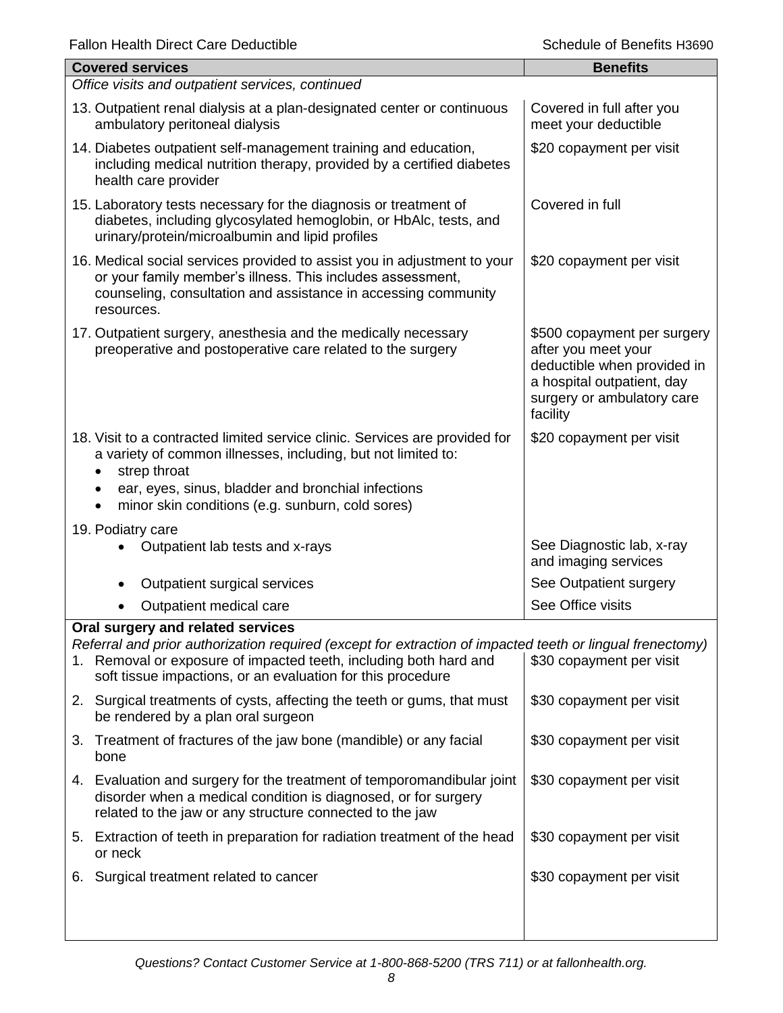| <b>Covered services</b>                                                                                                                                                                                                                                                | <b>Benefits</b>                                                                                                                                           |  |  |
|------------------------------------------------------------------------------------------------------------------------------------------------------------------------------------------------------------------------------------------------------------------------|-----------------------------------------------------------------------------------------------------------------------------------------------------------|--|--|
| Office visits and outpatient services, continued                                                                                                                                                                                                                       |                                                                                                                                                           |  |  |
| 13. Outpatient renal dialysis at a plan-designated center or continuous<br>ambulatory peritoneal dialysis                                                                                                                                                              | Covered in full after you<br>meet your deductible                                                                                                         |  |  |
| 14. Diabetes outpatient self-management training and education,<br>including medical nutrition therapy, provided by a certified diabetes<br>health care provider                                                                                                       | \$20 copayment per visit                                                                                                                                  |  |  |
| 15. Laboratory tests necessary for the diagnosis or treatment of<br>diabetes, including glycosylated hemoglobin, or HbAlc, tests, and<br>urinary/protein/microalbumin and lipid profiles                                                                               | Covered in full                                                                                                                                           |  |  |
| 16. Medical social services provided to assist you in adjustment to your<br>or your family member's illness. This includes assessment,<br>counseling, consultation and assistance in accessing community<br>resources.                                                 | \$20 copayment per visit                                                                                                                                  |  |  |
| 17. Outpatient surgery, anesthesia and the medically necessary<br>preoperative and postoperative care related to the surgery                                                                                                                                           | \$500 copayment per surgery<br>after you meet your<br>deductible when provided in<br>a hospital outpatient, day<br>surgery or ambulatory care<br>facility |  |  |
| 18. Visit to a contracted limited service clinic. Services are provided for<br>a variety of common illnesses, including, but not limited to:<br>strep throat<br>ear, eyes, sinus, bladder and bronchial infections<br>minor skin conditions (e.g. sunburn, cold sores) | \$20 copayment per visit                                                                                                                                  |  |  |
|                                                                                                                                                                                                                                                                        |                                                                                                                                                           |  |  |
| 19. Podiatry care<br>Outpatient lab tests and x-rays                                                                                                                                                                                                                   | See Diagnostic lab, x-ray<br>and imaging services                                                                                                         |  |  |
| Outpatient surgical services<br>٠                                                                                                                                                                                                                                      | See Outpatient surgery                                                                                                                                    |  |  |
| Outpatient medical care                                                                                                                                                                                                                                                | See Office visits                                                                                                                                         |  |  |
| Oral surgery and related services                                                                                                                                                                                                                                      |                                                                                                                                                           |  |  |
| Referral and prior authorization required (except for extraction of impacted teeth or lingual frenectomy)<br>1. Removal or exposure of impacted teeth, including both hard and<br>soft tissue impactions, or an evaluation for this procedure                          | \$30 copayment per visit                                                                                                                                  |  |  |
| 2. Surgical treatments of cysts, affecting the teeth or gums, that must<br>be rendered by a plan oral surgeon                                                                                                                                                          | \$30 copayment per visit                                                                                                                                  |  |  |
| 3. Treatment of fractures of the jaw bone (mandible) or any facial<br>bone                                                                                                                                                                                             | \$30 copayment per visit                                                                                                                                  |  |  |
| 4. Evaluation and surgery for the treatment of temporomandibular joint<br>disorder when a medical condition is diagnosed, or for surgery<br>related to the jaw or any structure connected to the jaw                                                                   | \$30 copayment per visit                                                                                                                                  |  |  |
| 5. Extraction of teeth in preparation for radiation treatment of the head<br>or neck                                                                                                                                                                                   | \$30 copayment per visit                                                                                                                                  |  |  |
| Surgical treatment related to cancer<br>6.                                                                                                                                                                                                                             | \$30 copayment per visit                                                                                                                                  |  |  |
|                                                                                                                                                                                                                                                                        |                                                                                                                                                           |  |  |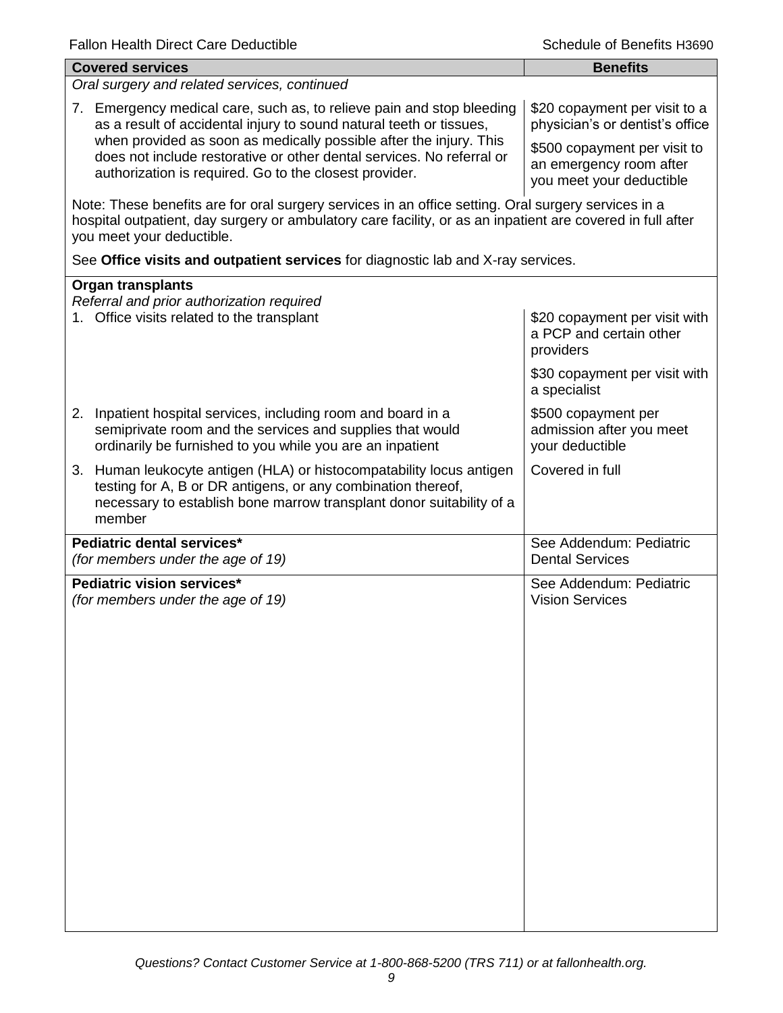| <b>Covered services</b>                                                                                                                                                                                                                        | <b>Benefits</b>                                                                     |  |  |
|------------------------------------------------------------------------------------------------------------------------------------------------------------------------------------------------------------------------------------------------|-------------------------------------------------------------------------------------|--|--|
| Oral surgery and related services, continued                                                                                                                                                                                                   |                                                                                     |  |  |
| 7. Emergency medical care, such as, to relieve pain and stop bleeding<br>as a result of accidental injury to sound natural teeth or tissues,<br>when provided as soon as medically possible after the injury. This                             | \$20 copayment per visit to a<br>physician's or dentist's office                    |  |  |
| does not include restorative or other dental services. No referral or<br>authorization is required. Go to the closest provider.                                                                                                                | \$500 copayment per visit to<br>an emergency room after<br>you meet your deductible |  |  |
| Note: These benefits are for oral surgery services in an office setting. Oral surgery services in a<br>hospital outpatient, day surgery or ambulatory care facility, or as an inpatient are covered in full after<br>you meet your deductible. |                                                                                     |  |  |
| See Office visits and outpatient services for diagnostic lab and X-ray services.                                                                                                                                                               |                                                                                     |  |  |
| <b>Organ transplants</b>                                                                                                                                                                                                                       |                                                                                     |  |  |
| Referral and prior authorization required<br>1. Office visits related to the transplant                                                                                                                                                        | \$20 copayment per visit with<br>a PCP and certain other<br>providers               |  |  |
|                                                                                                                                                                                                                                                | \$30 copayment per visit with<br>a specialist                                       |  |  |
| 2. Inpatient hospital services, including room and board in a<br>semiprivate room and the services and supplies that would<br>ordinarily be furnished to you while you are an inpatient                                                        | \$500 copayment per<br>admission after you meet<br>your deductible                  |  |  |
| 3. Human leukocyte antigen (HLA) or histocompatability locus antigen<br>testing for A, B or DR antigens, or any combination thereof,<br>necessary to establish bone marrow transplant donor suitability of a<br>member                         | Covered in full                                                                     |  |  |
| Pediatric dental services*<br>(for members under the age of 19)                                                                                                                                                                                | See Addendum: Pediatric<br><b>Dental Services</b>                                   |  |  |
| Pediatric vision services*<br>(for members under the age of 19)                                                                                                                                                                                | See Addendum: Pediatric<br><b>Vision Services</b>                                   |  |  |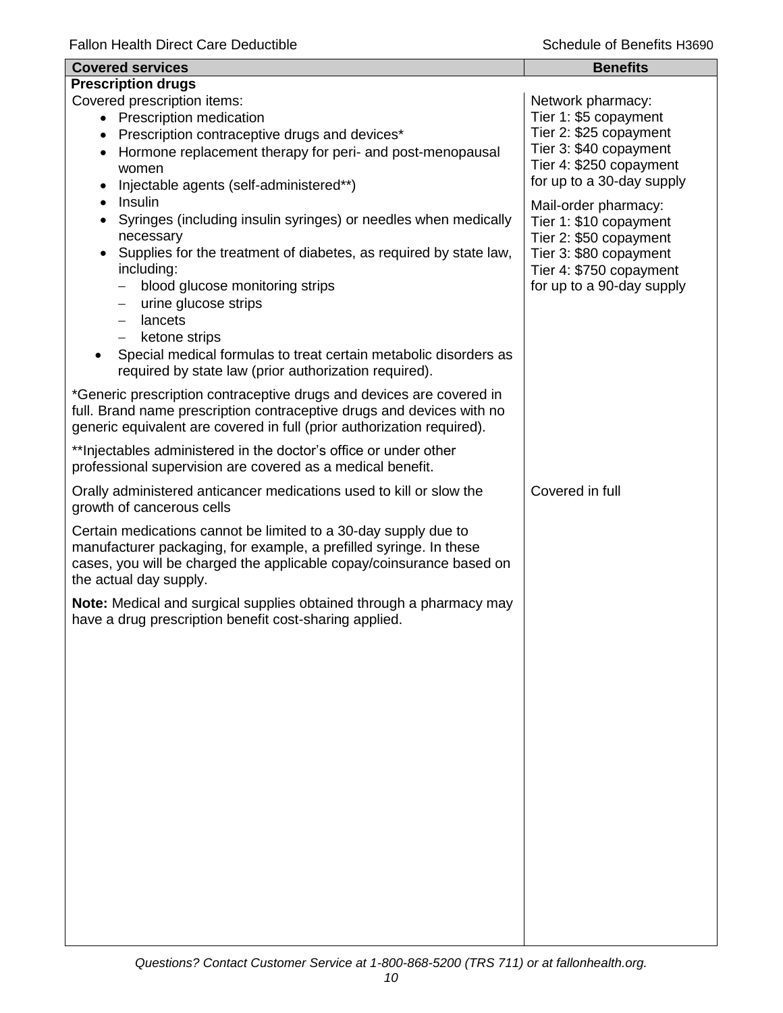| <b>Covered services</b>                                                                                                                                                                                                                                                                                                                                                                                                                                  | <b>Benefits</b>                                                                                                                                            |  |  |
|----------------------------------------------------------------------------------------------------------------------------------------------------------------------------------------------------------------------------------------------------------------------------------------------------------------------------------------------------------------------------------------------------------------------------------------------------------|------------------------------------------------------------------------------------------------------------------------------------------------------------|--|--|
| <b>Prescription drugs</b>                                                                                                                                                                                                                                                                                                                                                                                                                                |                                                                                                                                                            |  |  |
| Covered prescription items:<br>• Prescription medication<br>Prescription contraceptive drugs and devices*<br>$\bullet$<br>Hormone replacement therapy for peri- and post-menopausal<br>$\bullet$<br>women<br>Injectable agents (self-administered**)                                                                                                                                                                                                     | Network pharmacy:<br>Tier 1: \$5 copayment<br>Tier 2: \$25 copayment<br>Tier 3: \$40 copayment<br>Tier 4: \$250 copayment<br>for up to a 30-day supply     |  |  |
| Insulin<br>Syringes (including insulin syringes) or needles when medically<br>$\bullet$<br>necessary<br>Supplies for the treatment of diabetes, as required by state law,<br>including:<br>blood glucose monitoring strips<br>—<br>urine glucose strips<br>—<br>lancets<br>$\overline{\phantom{0}}$<br>ketone strips<br>$-$<br>Special medical formulas to treat certain metabolic disorders as<br>required by state law (prior authorization required). | Mail-order pharmacy:<br>Tier 1: \$10 copayment<br>Tier 2: \$50 copayment<br>Tier 3: \$80 copayment<br>Tier 4: \$750 copayment<br>for up to a 90-day supply |  |  |
| *Generic prescription contraceptive drugs and devices are covered in<br>full. Brand name prescription contraceptive drugs and devices with no<br>generic equivalent are covered in full (prior authorization required).                                                                                                                                                                                                                                  |                                                                                                                                                            |  |  |
| ** Injectables administered in the doctor's office or under other<br>professional supervision are covered as a medical benefit.                                                                                                                                                                                                                                                                                                                          |                                                                                                                                                            |  |  |
| Orally administered anticancer medications used to kill or slow the<br>growth of cancerous cells                                                                                                                                                                                                                                                                                                                                                         | Covered in full                                                                                                                                            |  |  |
| Certain medications cannot be limited to a 30-day supply due to<br>manufacturer packaging, for example, a prefilled syringe. In these<br>cases, you will be charged the applicable copay/coinsurance based on<br>the actual day supply.                                                                                                                                                                                                                  |                                                                                                                                                            |  |  |
| Note: Medical and surgical supplies obtained through a pharmacy may<br>have a drug prescription benefit cost-sharing applied.                                                                                                                                                                                                                                                                                                                            |                                                                                                                                                            |  |  |
|                                                                                                                                                                                                                                                                                                                                                                                                                                                          |                                                                                                                                                            |  |  |
|                                                                                                                                                                                                                                                                                                                                                                                                                                                          |                                                                                                                                                            |  |  |
|                                                                                                                                                                                                                                                                                                                                                                                                                                                          |                                                                                                                                                            |  |  |
|                                                                                                                                                                                                                                                                                                                                                                                                                                                          |                                                                                                                                                            |  |  |
|                                                                                                                                                                                                                                                                                                                                                                                                                                                          |                                                                                                                                                            |  |  |
|                                                                                                                                                                                                                                                                                                                                                                                                                                                          |                                                                                                                                                            |  |  |
|                                                                                                                                                                                                                                                                                                                                                                                                                                                          |                                                                                                                                                            |  |  |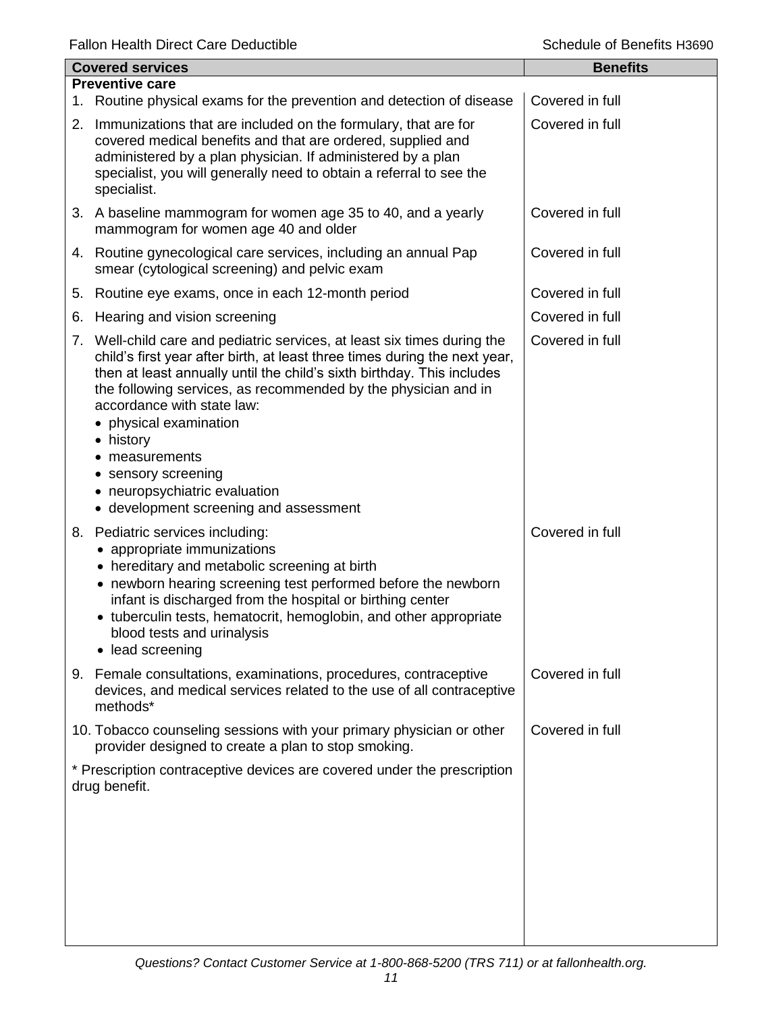Fallon Health Direct Care Deductible **Schedule of Benefits H3690** 

| <b>Covered services</b> |                                                                                                                                                                                                                                                                                                                                                                                                                                                                                           | <b>Benefits</b> |
|-------------------------|-------------------------------------------------------------------------------------------------------------------------------------------------------------------------------------------------------------------------------------------------------------------------------------------------------------------------------------------------------------------------------------------------------------------------------------------------------------------------------------------|-----------------|
|                         | <b>Preventive care</b>                                                                                                                                                                                                                                                                                                                                                                                                                                                                    |                 |
|                         | 1. Routine physical exams for the prevention and detection of disease                                                                                                                                                                                                                                                                                                                                                                                                                     | Covered in full |
|                         | 2. Immunizations that are included on the formulary, that are for<br>covered medical benefits and that are ordered, supplied and<br>administered by a plan physician. If administered by a plan<br>specialist, you will generally need to obtain a referral to see the<br>specialist.                                                                                                                                                                                                     | Covered in full |
|                         | 3. A baseline mammogram for women age 35 to 40, and a yearly<br>mammogram for women age 40 and older                                                                                                                                                                                                                                                                                                                                                                                      | Covered in full |
|                         | 4. Routine gynecological care services, including an annual Pap<br>smear (cytological screening) and pelvic exam                                                                                                                                                                                                                                                                                                                                                                          | Covered in full |
| 5.                      | Routine eye exams, once in each 12-month period                                                                                                                                                                                                                                                                                                                                                                                                                                           | Covered in full |
| 6.                      | Hearing and vision screening                                                                                                                                                                                                                                                                                                                                                                                                                                                              | Covered in full |
|                         | 7. Well-child care and pediatric services, at least six times during the<br>child's first year after birth, at least three times during the next year,<br>then at least annually until the child's sixth birthday. This includes<br>the following services, as recommended by the physician and in<br>accordance with state law:<br>• physical examination<br>• history<br>measurements<br>• sensory screening<br>• neuropsychiatric evaluation<br>• development screening and assessment | Covered in full |
|                         | 8. Pediatric services including:<br>appropriate immunizations<br>• hereditary and metabolic screening at birth<br>• newborn hearing screening test performed before the newborn<br>infant is discharged from the hospital or birthing center<br>• tuberculin tests, hematocrit, hemoglobin, and other appropriate<br>blood tests and urinalysis<br>• lead screening                                                                                                                       | Covered in full |
|                         | 9. Female consultations, examinations, procedures, contraceptive<br>devices, and medical services related to the use of all contraceptive<br>methods*                                                                                                                                                                                                                                                                                                                                     | Covered in full |
|                         | 10. Tobacco counseling sessions with your primary physician or other<br>provider designed to create a plan to stop smoking.                                                                                                                                                                                                                                                                                                                                                               | Covered in full |
|                         | * Prescription contraceptive devices are covered under the prescription<br>drug benefit.                                                                                                                                                                                                                                                                                                                                                                                                  |                 |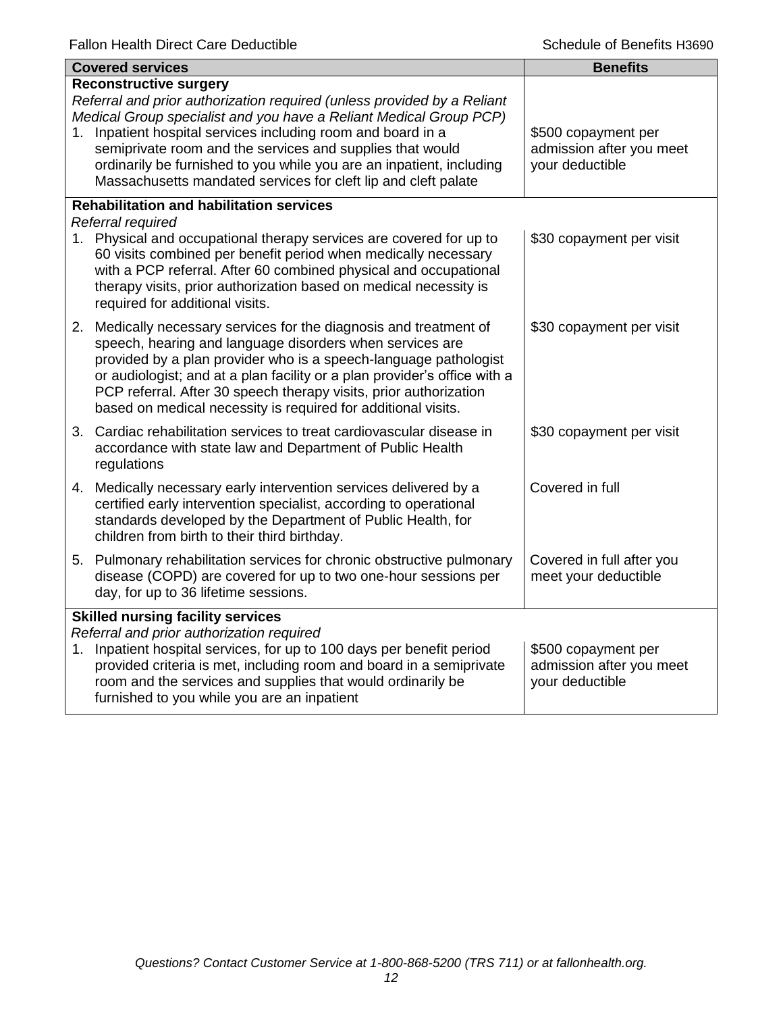| <b>Covered services</b>                  |                                                                                                                                                                                                                                                                                                                                                                                                                                                    | <b>Benefits</b>                                                    |
|------------------------------------------|----------------------------------------------------------------------------------------------------------------------------------------------------------------------------------------------------------------------------------------------------------------------------------------------------------------------------------------------------------------------------------------------------------------------------------------------------|--------------------------------------------------------------------|
| 1.                                       | <b>Reconstructive surgery</b><br>Referral and prior authorization required (unless provided by a Reliant<br>Medical Group specialist and you have a Reliant Medical Group PCP)<br>Inpatient hospital services including room and board in a<br>semiprivate room and the services and supplies that would<br>ordinarily be furnished to you while you are an inpatient, including<br>Massachusetts mandated services for cleft lip and cleft palate | \$500 copayment per<br>admission after you meet<br>your deductible |
|                                          | <b>Rehabilitation and habilitation services</b><br>Referral required                                                                                                                                                                                                                                                                                                                                                                               |                                                                    |
|                                          | 1. Physical and occupational therapy services are covered for up to<br>60 visits combined per benefit period when medically necessary<br>with a PCP referral. After 60 combined physical and occupational<br>therapy visits, prior authorization based on medical necessity is<br>required for additional visits.                                                                                                                                  | \$30 copayment per visit                                           |
|                                          | 2. Medically necessary services for the diagnosis and treatment of<br>speech, hearing and language disorders when services are<br>provided by a plan provider who is a speech-language pathologist<br>or audiologist; and at a plan facility or a plan provider's office with a<br>PCP referral. After 30 speech therapy visits, prior authorization<br>based on medical necessity is required for additional visits.                              | \$30 copayment per visit                                           |
|                                          | 3. Cardiac rehabilitation services to treat cardiovascular disease in<br>accordance with state law and Department of Public Health<br>regulations                                                                                                                                                                                                                                                                                                  | \$30 copayment per visit                                           |
|                                          | 4. Medically necessary early intervention services delivered by a<br>certified early intervention specialist, according to operational<br>standards developed by the Department of Public Health, for<br>children from birth to their third birthday.                                                                                                                                                                                              | Covered in full                                                    |
|                                          | 5. Pulmonary rehabilitation services for chronic obstructive pulmonary<br>disease (COPD) are covered for up to two one-hour sessions per<br>day, for up to 36 lifetime sessions.                                                                                                                                                                                                                                                                   | Covered in full after you<br>meet your deductible                  |
| <b>Skilled nursing facility services</b> |                                                                                                                                                                                                                                                                                                                                                                                                                                                    |                                                                    |
| 1.                                       | Referral and prior authorization required<br>Inpatient hospital services, for up to 100 days per benefit period<br>provided criteria is met, including room and board in a semiprivate<br>room and the services and supplies that would ordinarily be<br>furnished to you while you are an inpatient                                                                                                                                               | \$500 copayment per<br>admission after you meet<br>your deductible |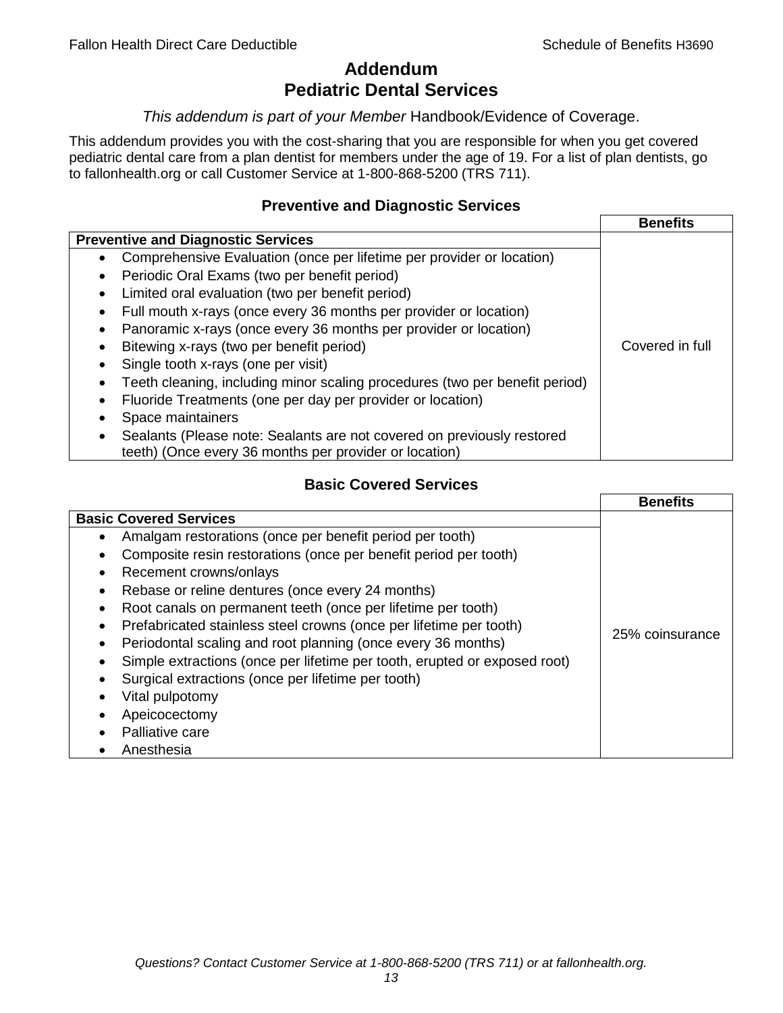# **Addendum Pediatric Dental Services**

# *This addendum is part of your Member* Handbook/Evidence of Coverage.

This addendum provides you with the cost-sharing that you are responsible for when you get covered pediatric dental care from a plan dentist for members under the age of 19. For a list of plan dentists, go to fallonhealth.org or call Customer Service at 1-800-868-5200 (TRS 711).

# **Preventive and Diagnostic Services**

|                                                                             | <b>Benefits</b> |
|-----------------------------------------------------------------------------|-----------------|
| <b>Preventive and Diagnostic Services</b>                                   |                 |
| Comprehensive Evaluation (once per lifetime per provider or location)<br>٠  |                 |
| Periodic Oral Exams (two per benefit period)<br>$\bullet$                   |                 |
| Limited oral evaluation (two per benefit period)<br>$\bullet$               |                 |
| Full mouth x-rays (once every 36 months per provider or location)           |                 |
| Panoramic x-rays (once every 36 months per provider or location)            |                 |
| Bitewing x-rays (two per benefit period)<br>٠                               | Covered in full |
| Single tooth x-rays (one per visit)                                         |                 |
| Teeth cleaning, including minor scaling procedures (two per benefit period) |                 |
| Fluoride Treatments (one per day per provider or location)                  |                 |
| Space maintainers                                                           |                 |
| Sealants (Please note: Sealants are not covered on previously restored      |                 |
| teeth) (Once every 36 months per provider or location)                      |                 |

# **Basic Covered Services**

|                                                                                                                                                                                                                                                                                                                                                                                                            | <b>Benefits</b> |
|------------------------------------------------------------------------------------------------------------------------------------------------------------------------------------------------------------------------------------------------------------------------------------------------------------------------------------------------------------------------------------------------------------|-----------------|
| <b>Basic Covered Services</b><br>Amalgam restorations (once per benefit period per tooth)<br>Composite resin restorations (once per benefit period per tooth)<br>Recement crowns/onlays<br>Rebase or reline dentures (once every 24 months)                                                                                                                                                                |                 |
| Root canals on permanent teeth (once per lifetime per tooth)<br>Prefabricated stainless steel crowns (once per lifetime per tooth)<br>Periodontal scaling and root planning (once every 36 months)<br>Simple extractions (once per lifetime per tooth, erupted or exposed root)<br>Surgical extractions (once per lifetime per tooth)<br>Vital pulpotomy<br>Apeicocectomy<br>Palliative care<br>Anesthesia | 25% coinsurance |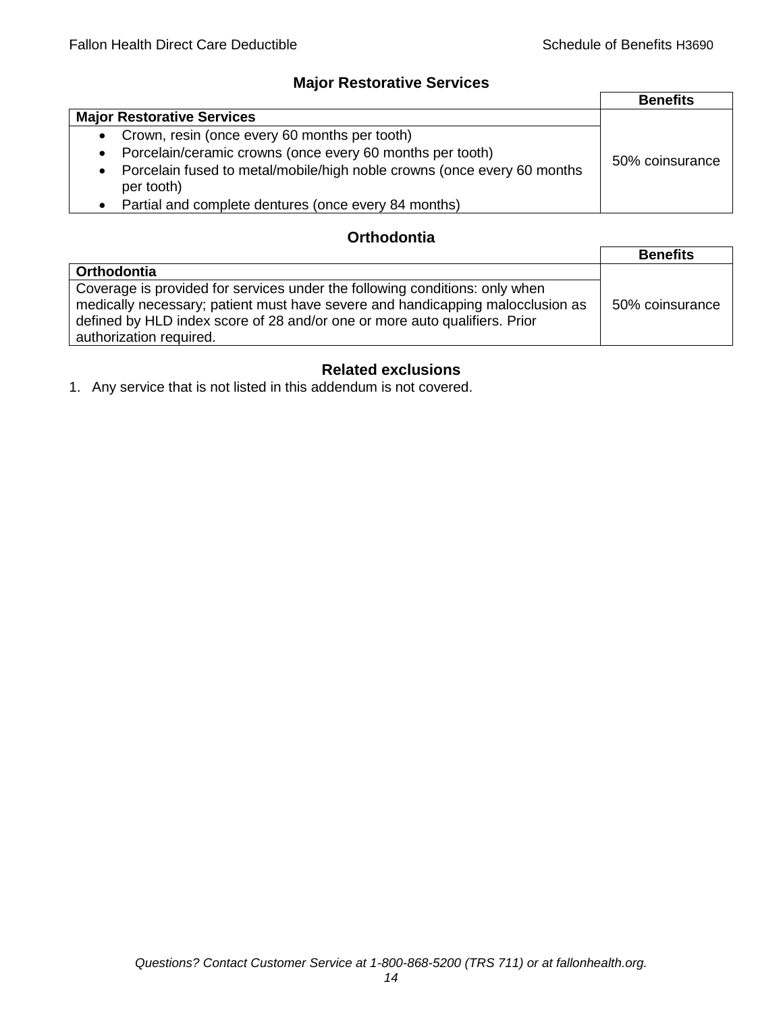# **Major Restorative Services**

|                                                                                                    | <b>Benefits</b> |
|----------------------------------------------------------------------------------------------------|-----------------|
| <b>Major Restorative Services</b>                                                                  |                 |
| • Crown, resin (once every 60 months per tooth)                                                    |                 |
| Porcelain/ceramic crowns (once every 60 months per tooth)<br>$\bullet$                             | 50% coinsurance |
| Porcelain fused to metal/mobile/high noble crowns (once every 60 months<br>$\bullet$<br>per tooth) |                 |
| • Partial and complete dentures (once every 84 months)                                             |                 |

# **Orthodontia**

|                                                                                                                                                                                                                                                                        | <b>Benefits</b> |
|------------------------------------------------------------------------------------------------------------------------------------------------------------------------------------------------------------------------------------------------------------------------|-----------------|
| <b>Orthodontia</b>                                                                                                                                                                                                                                                     |                 |
| Coverage is provided for services under the following conditions: only when<br>medically necessary; patient must have severe and handicapping malocclusion as<br>defined by HLD index score of 28 and/or one or more auto qualifiers. Prior<br>authorization required. | 50% coinsurance |

# **Related exclusions**

1. Any service that is not listed in this addendum is not covered.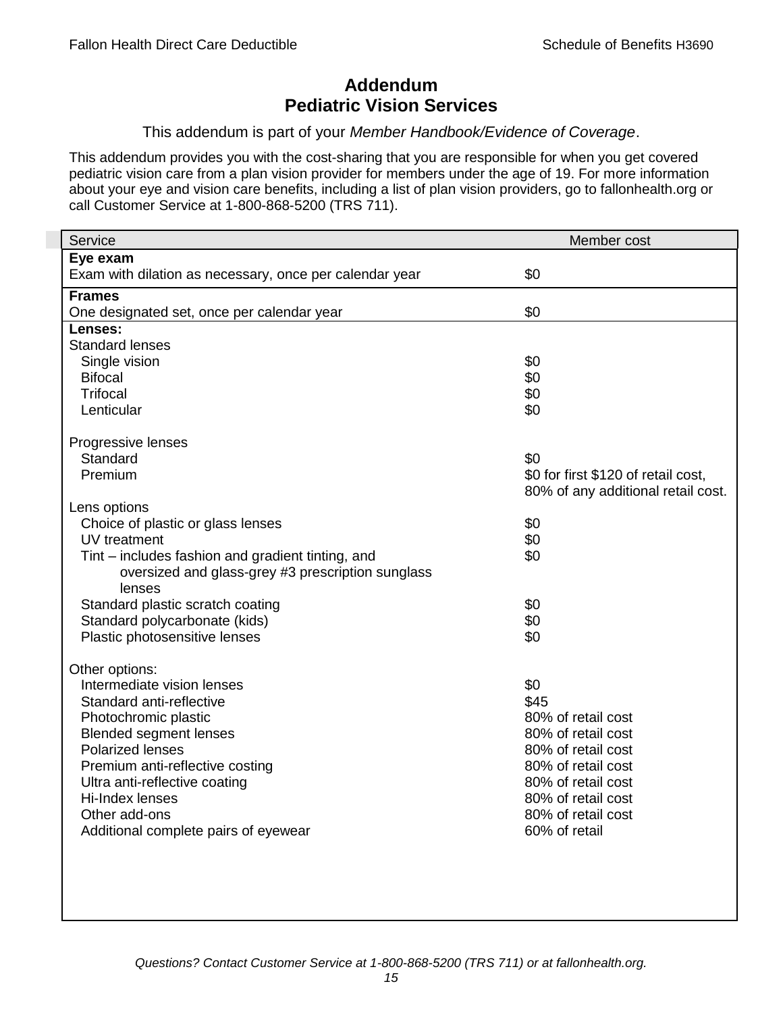# **Addendum Pediatric Vision Services**

# This addendum is part of your *Member Handbook/Evidence of Coverage*.

This addendum provides you with the cost-sharing that you are responsible for when you get covered pediatric vision care from a plan vision provider for members under the age of 19. For more information about your eye and vision care benefits, including a list of plan vision providers, go to fallonhealth.org or call Customer Service at 1-800-868-5200 (TRS 711).

| Service                                                 | Member cost                         |
|---------------------------------------------------------|-------------------------------------|
| Eye exam                                                |                                     |
| Exam with dilation as necessary, once per calendar year | \$0                                 |
| <b>Frames</b>                                           |                                     |
| One designated set, once per calendar year              | \$0                                 |
| Lenses:                                                 |                                     |
| <b>Standard lenses</b>                                  |                                     |
| Single vision                                           | \$0                                 |
| <b>Bifocal</b>                                          | \$0                                 |
| <b>Trifocal</b>                                         | \$0                                 |
| Lenticular                                              | \$0                                 |
| Progressive lenses                                      |                                     |
| Standard                                                | \$0                                 |
| Premium                                                 | \$0 for first \$120 of retail cost, |
|                                                         | 80% of any additional retail cost.  |
| Lens options                                            |                                     |
| Choice of plastic or glass lenses                       | \$0                                 |
| UV treatment                                            | \$0                                 |
| Tint – includes fashion and gradient tinting, and       | \$0                                 |
| oversized and glass-grey #3 prescription sunglass       |                                     |
| lenses                                                  |                                     |
| Standard plastic scratch coating                        | \$0                                 |
| Standard polycarbonate (kids)                           | \$0                                 |
| Plastic photosensitive lenses                           | \$0                                 |
|                                                         |                                     |
| Other options:<br>Intermediate vision lenses            | \$0                                 |
| Standard anti-reflective                                | \$45                                |
| Photochromic plastic                                    | 80% of retail cost                  |
| <b>Blended segment lenses</b>                           | 80% of retail cost                  |
| <b>Polarized lenses</b>                                 | 80% of retail cost                  |
| Premium anti-reflective costing                         | 80% of retail cost                  |
| Ultra anti-reflective coating                           | 80% of retail cost                  |
| Hi-Index lenses                                         | 80% of retail cost                  |
| Other add-ons                                           | 80% of retail cost                  |
| Additional complete pairs of eyewear                    | 60% of retail                       |
|                                                         |                                     |
|                                                         |                                     |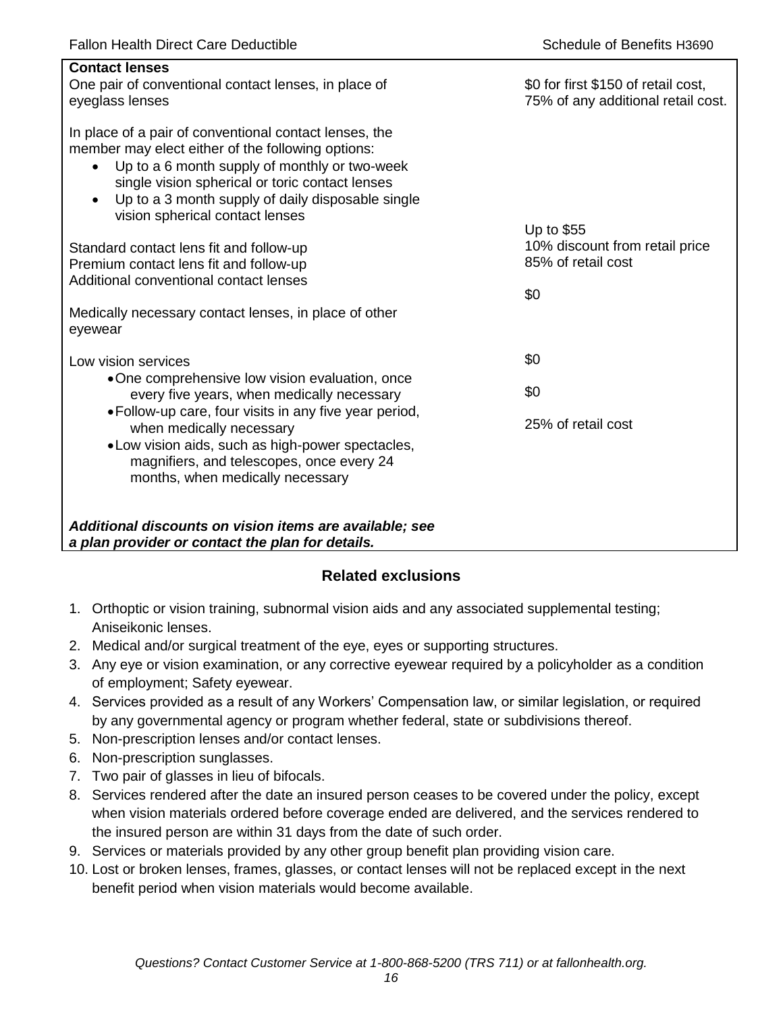| <b>Contact lenses</b><br>One pair of conventional contact lenses, in place of<br>eyeglass lenses                                                                                                                                                                                                                                  | \$0 for first \$150 of retail cost,<br>75% of any additional retail cost. |
|-----------------------------------------------------------------------------------------------------------------------------------------------------------------------------------------------------------------------------------------------------------------------------------------------------------------------------------|---------------------------------------------------------------------------|
| In place of a pair of conventional contact lenses, the<br>member may elect either of the following options:<br>Up to a 6 month supply of monthly or two-week<br>$\bullet$<br>single vision spherical or toric contact lenses<br>Up to a 3 month supply of daily disposable single<br>$\bullet$<br>vision spherical contact lenses |                                                                           |
| Standard contact lens fit and follow-up<br>Premium contact lens fit and follow-up<br>Additional conventional contact lenses                                                                                                                                                                                                       | Up to \$55<br>10% discount from retail price<br>85% of retail cost<br>\$0 |
| Medically necessary contact lenses, in place of other<br>eyewear                                                                                                                                                                                                                                                                  |                                                                           |
| Low vision services                                                                                                                                                                                                                                                                                                               | \$0                                                                       |
| •One comprehensive low vision evaluation, once<br>every five years, when medically necessary                                                                                                                                                                                                                                      | \$0                                                                       |
| • Follow-up care, four visits in any five year period,<br>when medically necessary<br>• Low vision aids, such as high-power spectacles,<br>magnifiers, and telescopes, once every 24<br>months, when medically necessary                                                                                                          | 25% of retail cost                                                        |
| Additional discounts on vision items are available; see<br>a plan provider or contact the plan for details.                                                                                                                                                                                                                       |                                                                           |

# **Related exclusions**

- 1. Orthoptic or vision training, subnormal vision aids and any associated supplemental testing; Aniseikonic lenses.
- 2. Medical and/or surgical treatment of the eye, eyes or supporting structures.
- 3. Any eye or vision examination, or any corrective eyewear required by a policyholder as a condition of employment; Safety eyewear.
- 4. Services provided as a result of any Workers' Compensation law, or similar legislation, or required by any governmental agency or program whether federal, state or subdivisions thereof.
- 5. Non-prescription lenses and/or contact lenses.
- 6. Non-prescription sunglasses.
- 7. Two pair of glasses in lieu of bifocals.
- 8. Services rendered after the date an insured person ceases to be covered under the policy, except when vision materials ordered before coverage ended are delivered, and the services rendered to the insured person are within 31 days from the date of such order.
- 9. Services or materials provided by any other group benefit plan providing vision care.
- 10. Lost or broken lenses, frames, glasses, or contact lenses will not be replaced except in the next benefit period when vision materials would become available.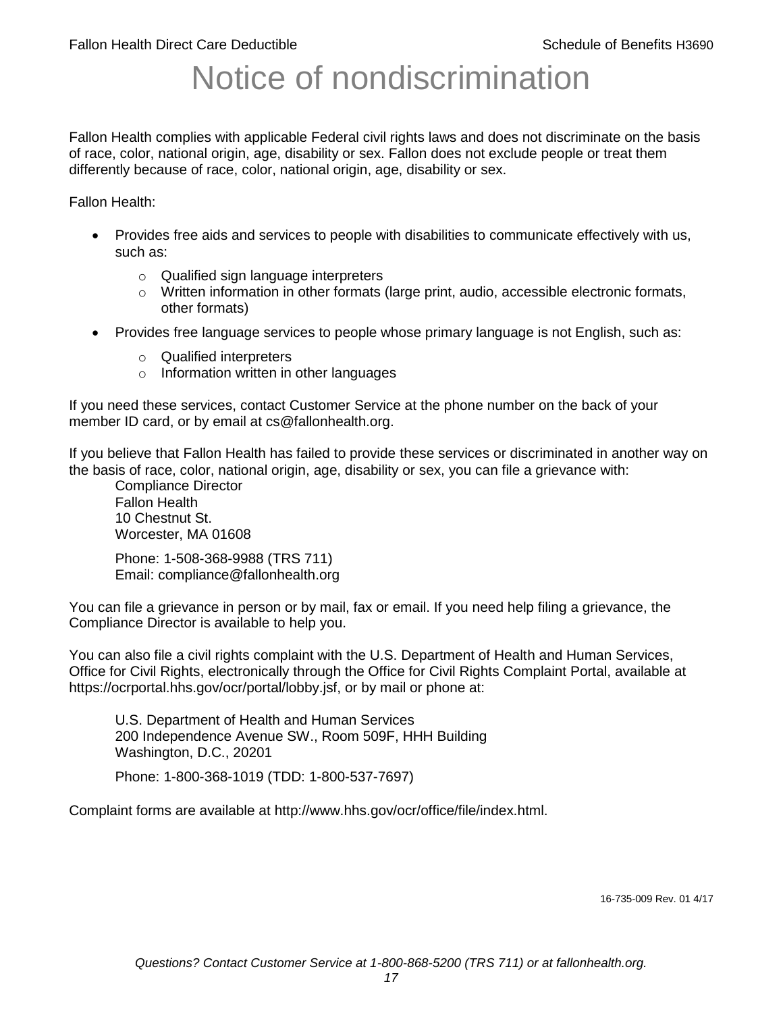# Notice of nondiscrimination

Fallon Health complies with applicable Federal civil rights laws and does not discriminate on the basis of race, color, national origin, age, disability or sex. Fallon does not exclude people or treat them differently because of race, color, national origin, age, disability or sex.

Fallon Health:

- Provides free aids and services to people with disabilities to communicate effectively with us, such as:
	- o Qualified sign language interpreters
	- $\circ$  Written information in other formats (large print, audio, accessible electronic formats, other formats)
- Provides free language services to people whose primary language is not English, such as:
	- o Qualified interpreters
	- o Information written in other languages

If you need these services, contact Customer Service at the phone number on the back of your member ID card, or by email at cs@fallonhealth.org.

If you believe that Fallon Health has failed to provide these services or discriminated in another way on the basis of race, color, national origin, age, disability or sex, you can file a grievance with:

Compliance Director Fallon Health 10 Chestnut St. Worcester, MA 01608

Phone: 1-508-368-9988 (TRS 711) Email: compliance@fallonhealth.org

You can file a grievance in person or by mail, fax or email. If you need help filing a grievance, the Compliance Director is available to help you.

You can also file a civil rights complaint with the U.S. Department of Health and Human Services, Office for Civil Rights, electronically through the Office for Civil Rights Complaint Portal, available at https://ocrportal.hhs.gov/ocr/portal/lobby.jsf, or by mail or phone at:

U.S. Department of Health and Human Services 200 Independence Avenue SW., Room 509F, HHH Building Washington, D.C., 20201

Phone: 1-800-368-1019 (TDD: 1-800-537-7697)

Complaint forms are available at http://www.hhs.gov/ocr/office/file/index.html.

16-735-009 Rev. 01 4/17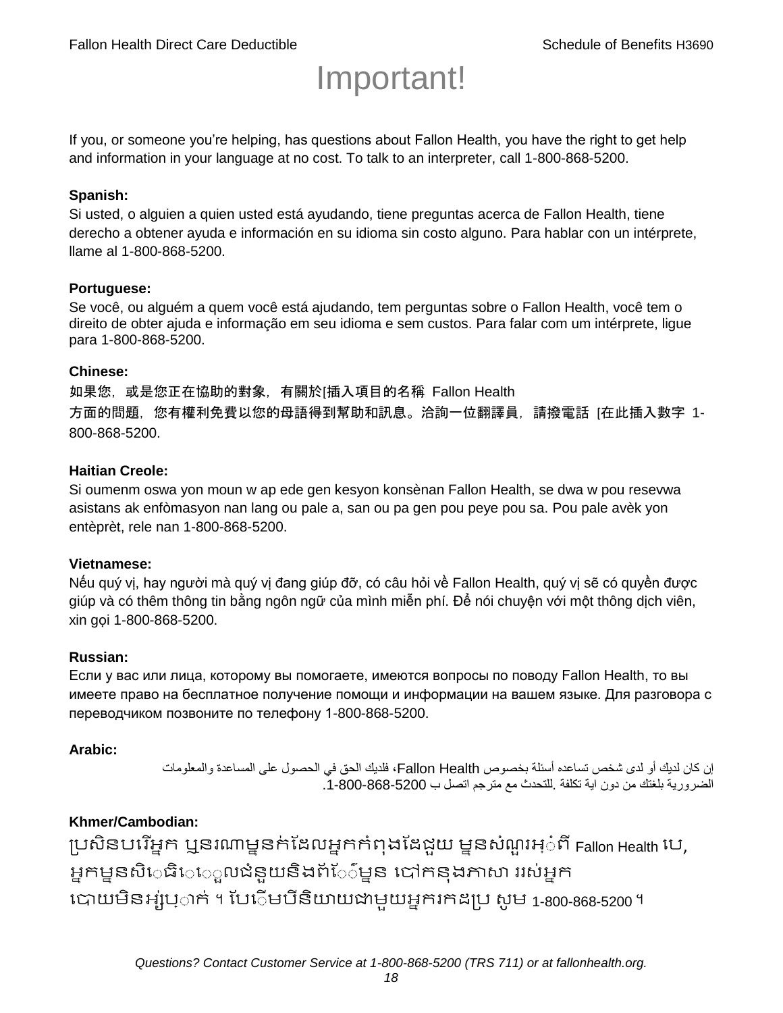# Important!

If you, or someone you're helping, has questions about Fallon Health, you have the right to get help and information in your language at no cost. To talk to an interpreter, call 1-800-868-5200.

#### **Spanish:**

Si usted, o alguien a quien usted está ayudando, tiene preguntas acerca de Fallon Health, tiene derecho a obtener ayuda e información en su idioma sin costo alguno. Para hablar con un intérprete, llame al 1-800-868-5200.

#### **Portuguese:**

Se você, ou alguém a quem você está ajudando, tem perguntas sobre o Fallon Health, você tem o direito de obter ajuda e informação em seu idioma e sem custos. Para falar com um intérprete, ligue para 1-800-868-5200.

#### **Chinese:**

如果您,或是您正在協助的對象,有關於[插入項目的名稱 Fallon Health 方面的問題, 您有權利免費以您的母語得到幫助和訊息。洽詢一位翻譯員, 請撥電話 [在此插入數字 1-800-868-5200.

#### **Haitian Creole:**

Si oumenm oswa yon moun w ap ede gen kesyon konsènan Fallon Health, se dwa w pou resevwa asistans ak enfòmasyon nan lang ou pale a, san ou pa gen pou peye pou sa. Pou pale avèk yon entèprèt, rele nan 1-800-868-5200.

#### **Vietnamese:**

Nếu quý vị, hay người mà quý vị đang giúp đỡ, có câu hỏi về Fallon Health, quý vị sẽ có quyền được giúp và có thêm thông tin bằng ngôn ngữ của mình miễn phí. Để nói chuyện với một thông dịch viên, xin gọi 1-800-868-5200.

#### **Russian:**

Если у вас или лица, которому вы помогаете, имеются вопросы по поводу Fallon Health, то вы имеете право на бесплатное получение помощи и информации на вашем языке. Для разговора с переводчиком позвоните по телефону 1-800-868-5200.

#### **Arabic:**

إن كان لديك أو لدى شخص تساعده أسئلة بخصوص Health Fallon، فلديك الحق في الحصول على المساعدة والمعلومات الضرورية بلغتك من دون اية تكلفة .للتحدث مع مترجم اتصل ب .1-800-868-5200

## **Khmer/Cambodian:**

ប្រសិនបរើអ្នក ឬនរណាម្ននក់ដែលអ្នកកំពុងដែជយ ម្ននសំណួរអ្៎ពី Fallon Health រប, អ្នកម្ននសិេធិេ្រុលជំនួយនិងព័ែ៌ម្នន បៅកនុងភាសា ររស់អ្នក រោយម្ិនអ្ស់រ្ំ ក់ ។ ដររំម្ រនី ិយាយជាម្ួយអ្នក កែប្រ សូ ម្ 1-800-868-5200 ។